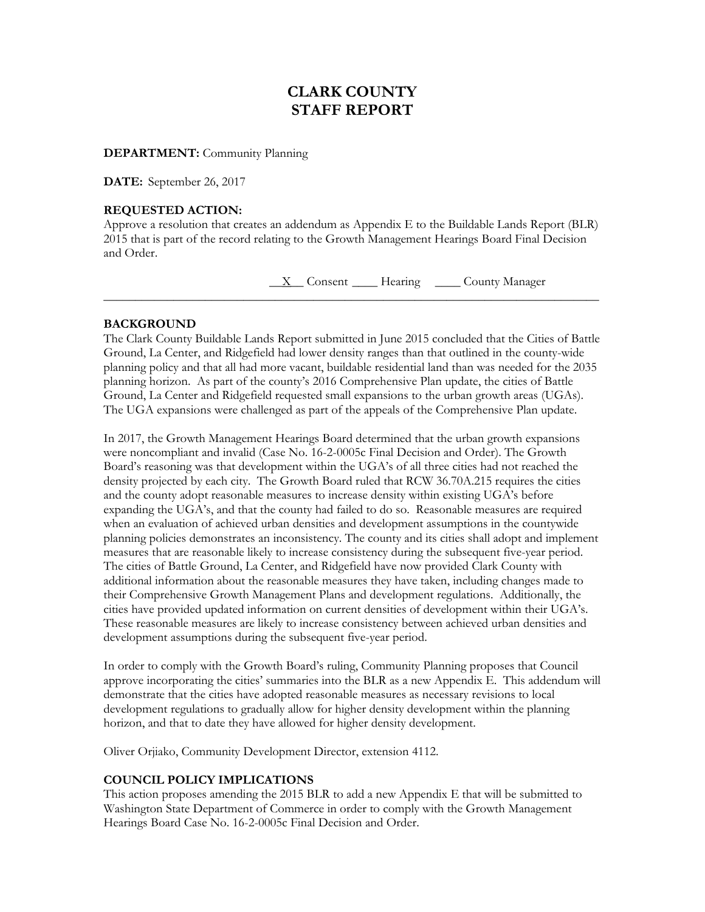# **CLARK COUNTY STAFF REPORT**

**DEPARTMENT:** Community Planning

**DATE:** September 26, 2017

## **REQUESTED ACTION:**

Approve a resolution that creates an addendum as Appendix E to the Buildable Lands Report (BLR) 2015 that is part of the record relating to the Growth Management Hearings Board Final Decision and Order.

\_\_\_\_\_\_\_\_\_\_\_\_\_\_\_\_\_\_\_\_\_\_\_\_\_\_\_\_\_\_\_\_\_\_\_\_\_\_\_\_\_\_\_\_\_\_\_\_\_\_\_\_\_\_\_\_\_\_\_\_\_\_\_\_\_\_\_\_\_\_\_\_\_\_\_\_\_\_

\_\_X\_\_ Consent \_\_\_\_ Hearing \_\_\_\_ County Manager

## **BACKGROUND**

The Clark County Buildable Lands Report submitted in June 2015 concluded that the Cities of Battle Ground, La Center, and Ridgefield had lower density ranges than that outlined in the county-wide planning policy and that all had more vacant, buildable residential land than was needed for the 2035 planning horizon. As part of the county's 2016 Comprehensive Plan update, the cities of Battle Ground, La Center and Ridgefield requested small expansions to the urban growth areas (UGAs). The UGA expansions were challenged as part of the appeals of the Comprehensive Plan update.

In 2017, the Growth Management Hearings Board determined that the urban growth expansions were noncompliant and invalid (Case No. 16-2-0005c Final Decision and Order). The Growth Board's reasoning was that development within the UGA's of all three cities had not reached the density projected by each city. The Growth Board ruled that RCW 36.70A.215 requires the cities and the county adopt reasonable measures to increase density within existing UGA's before expanding the UGA's, and that the county had failed to do so. Reasonable measures are required when an evaluation of achieved urban densities and development assumptions in the countywide planning policies demonstrates an inconsistency. The county and its cities shall adopt and implement measures that are reasonable likely to increase consistency during the subsequent five-year period. The cities of Battle Ground, La Center, and Ridgefield have now provided Clark County with additional information about the reasonable measures they have taken, including changes made to their Comprehensive Growth Management Plans and development regulations. Additionally, the cities have provided updated information on current densities of development within their UGA's. These reasonable measures are likely to increase consistency between achieved urban densities and development assumptions during the subsequent five-year period.

In order to comply with the Growth Board's ruling, Community Planning proposes that Council approve incorporating the cities' summaries into the BLR as a new Appendix E. This addendum will demonstrate that the cities have adopted reasonable measures as necessary revisions to local development regulations to gradually allow for higher density development within the planning horizon, and that to date they have allowed for higher density development.

Oliver Orjiako, Community Development Director, extension 4112.

## **COUNCIL POLICY IMPLICATIONS**

This action proposes amending the 2015 BLR to add a new Appendix E that will be submitted to Washington State Department of Commerce in order to comply with the Growth Management Hearings Board Case No. 16-2-0005c Final Decision and Order.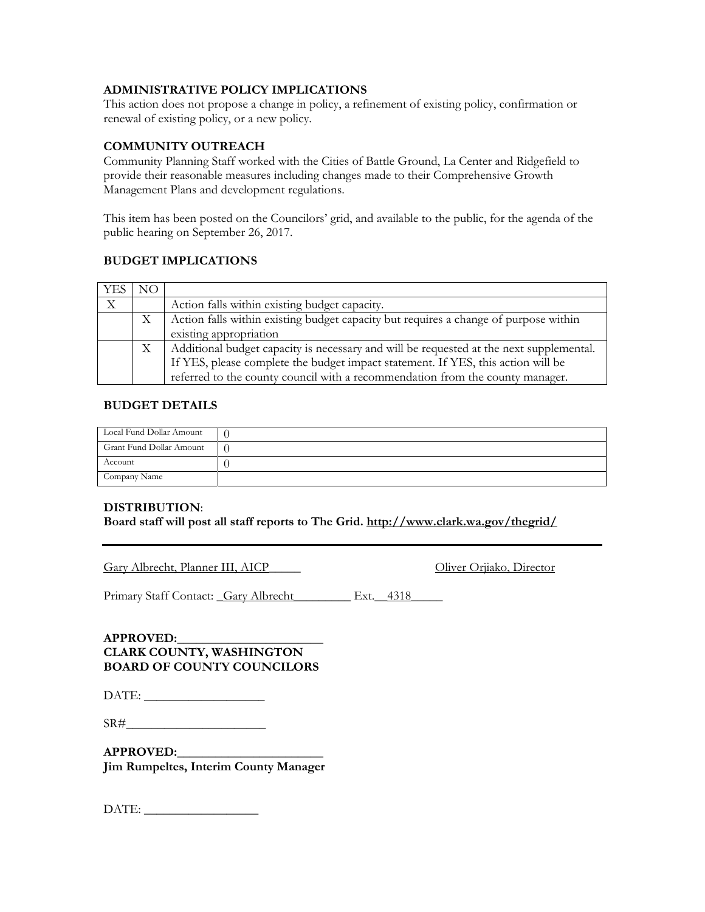## **ADMINISTRATIVE POLICY IMPLICATIONS**

This action does not propose a change in policy, a refinement of existing policy, confirmation or renewal of existing policy, or a new policy.

## **COMMUNITY OUTREACH**

Community Planning Staff worked with the Cities of Battle Ground, La Center and Ridgefield to provide their reasonable measures including changes made to their Comprehensive Growth Management Plans and development regulations.

This item has been posted on the Councilors' grid, and available to the public, for the agenda of the public hearing on September 26, 2017.

## **BUDGET IMPLICATIONS**

| YES | NO. |                                                                                         |
|-----|-----|-----------------------------------------------------------------------------------------|
| X   |     | Action falls within existing budget capacity.                                           |
|     | X   | Action falls within existing budget capacity but requires a change of purpose within    |
|     |     | existing appropriation                                                                  |
|     | X   | Additional budget capacity is necessary and will be requested at the next supplemental. |
|     |     | If YES, please complete the budget impact statement. If YES, this action will be        |
|     |     | referred to the county council with a recommendation from the county manager.           |

## **BUDGET DETAILS**

| Local Fund Dollar Amount |  |
|--------------------------|--|
| Grant Fund Dollar Amount |  |
| Account                  |  |
| Company Name             |  |

## **DISTRIBUTION**:

**Board staff will post all staff reports to The Grid.<http://www.clark.wa.gov/thegrid/>**

Gary Albrecht, Planner III, AICP<br>
Oliver Orjiako, Director

Primary Staff Contact: Cary Albrecht Ext. 4318

**APPROVED:\_\_\_\_\_\_\_\_\_\_\_\_\_\_\_\_\_\_\_\_\_\_\_ CLARK COUNTY, WASHINGTON BOARD OF COUNTY COUNCILORS**

DATE: \_\_\_\_\_\_\_\_\_\_\_\_\_\_\_\_\_\_\_

 $SR#$ 

**APPROVED:\_\_\_\_\_\_\_\_\_\_\_\_\_\_\_\_\_\_\_\_\_\_\_ Jim Rumpeltes, Interim County Manager**

DATE: **\_\_\_\_\_\_\_\_\_\_\_\_\_\_\_\_\_\_**